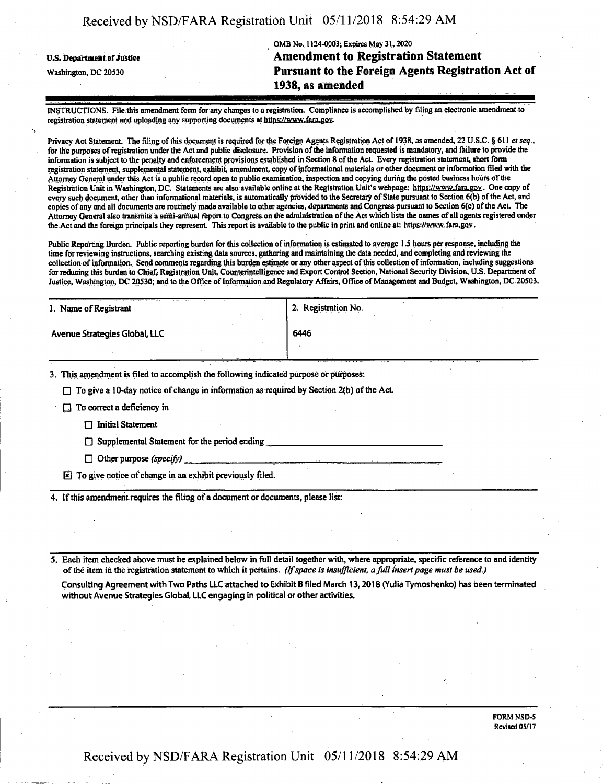| Received by NSD/FARA Registration Unit 05/11/2018 8:54:29 AM |  |  |
|--------------------------------------------------------------|--|--|
|--------------------------------------------------------------|--|--|

OMB No. 1124-0003; Expires May 31,2020 **u.s. Department ofjustice Amendment to Registration Statement** Washington, dc <sup>20530</sup> **Pursuant to the Foreign Agents Registration Act of 1938, as amended**

INSTRUCTIONS. File this amendment form for any changes to a registration. Compliance is accomplished by filing an electronic amendment to registration statement and uploading any supporting documents at https://www.fara.gov.

Privacy Act Statement. The filing of this document is required for the Foreign Agents Registration Act of 1938, as amended, 22 U.S.C. § 611 *et seq.*, for the purposes ofregistration under the Act and public disclosure. Provision ofthe information requested is mandatory, and failure to provide the information is subject to the penalty and enforcement provisions established in Section 8 of the Act. Every registration statement, short form registration statement, supplemental statement, exhibit, amendment, copy of informational materials or other document or information filed with the Attorney General under this Act is a public record open to public examination, inspection and copying during the posted business hours ofthe Registration Unit in Washington, DC. Statements are also available online at the Registration Unit's webpage: https://www.fara.gov. One copy of every such document, other than informational materials, is automatically provided to the Secretary of State pursuant to Section 6(b) of the Act, and copies ofany and all documents are routinely made available to other agencies, departments and Congress pursuant to Section 6(c) ofthe Act. The Attorney General also transmits a semi-annual report to Congress on the administration of the Act which lists the names of all agents registered under the Act and the foreign principals they represent. This report is available to the public in print and online at: https://www.fara.gov.

Public Reporting Burden. Public reporting burden for this collection of information is estimated to average 1.5 hours per response, including the time forreviewing instructions, searching existing data sources, gathering and maintaining the data needed, and completing and reviewing the collection of information. Send comments regarding this burden estimate or any other aspect of this collection of information, including suggestions for reducing this burden to Chief, Registration Unit, Counterintelligence and Export Control Section, National Security Division, U.S. Department of Justice, Washington, DC 20530; and to the Office of Information and Regulatory Affairs, Office of Management and Budget, Washington, DC 20503.

| 1. Name of Registrant         | 2. Registration No. |
|-------------------------------|---------------------|
| Avenue Strategies Global, LLC | 6446                |
|                               |                     |

3. This amendment is filed to accomplish the following indicated purpose or purposes:

 $\Box$  To give a 10-day notice of change in information as required by Section 2(b) of the Act.

To correct a deficiency in

□ Initial Statement

 $\Box$  Supplemental Statement for the period ending

□ Other purpose *(specify)* 

 $\boxed{2}$  To give notice of change in an exhibit previously filed.

4. If this amendment requires the filing of a document or documents, please list:

5. Each item checked above must be explained below in full detail together with, where appropriate, specific reference to and identity ofthe item in the registration statement to which it pertains. *(Ifspace is insufficient, afall insertpage must be used.)*

Consulting Agreement withTwo Paths LLC attached to Exhibit B filed March 13,2018 (Yulia Tymoshenko) has been terminated without Avenue Strategies Global, LLC engaging in political or other activities.

> FORM NSD-5 Revised 05/17

## **Received by NSD/FARA Registration Unit 05/11/2018 8:54:29 AM**